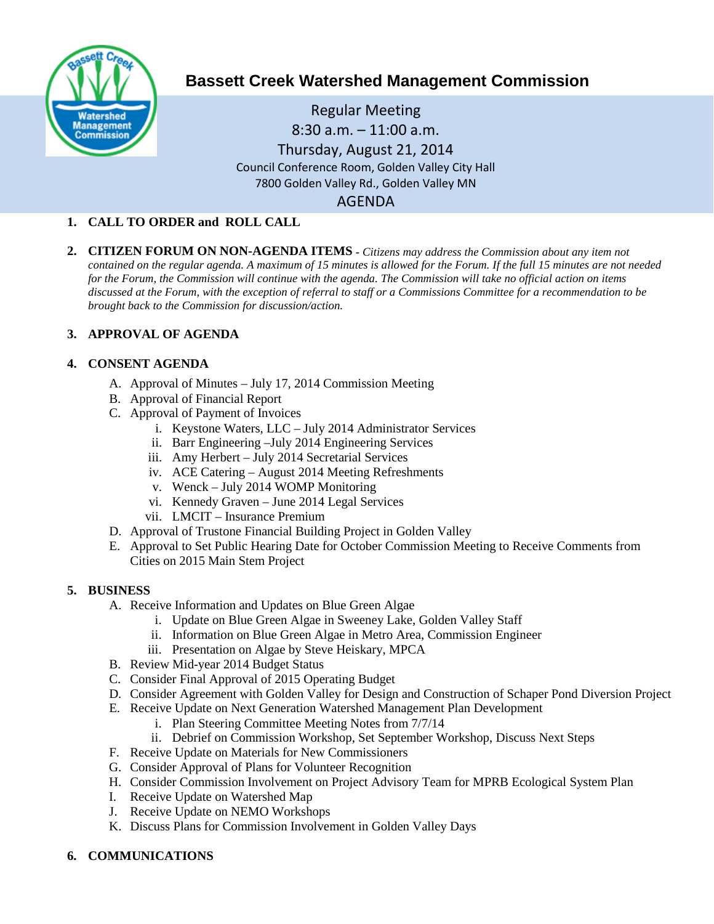

# **Bassett Creek Watershed Management Commission**

Regular Meeting 8:30 a.m. – 11:00 a.m. Thursday, August 21, 2014 Council Conference Room, Golden Valley City Hall 7800 Golden Valley Rd., Golden Valley MN AGENDA

# **1. CALL TO ORDER and ROLL CALL**

**2. CITIZEN FORUM ON NON-AGENDA ITEMS -** *Citizens may address the Commission about any item not contained on the regular agenda. A maximum of 15 minutes is allowed for the Forum. If the full 15 minutes are not needed for the Forum, the Commission will continue with the agenda. The Commission will take no official action on items discussed at the Forum, with the exception of referral to staff or a Commissions Committee for a recommendation to be brought back to the Commission for discussion/action.*

# **3. APPROVAL OF AGENDA**

#### **4. CONSENT AGENDA**

- A. Approval of Minutes July 17, 2014 Commission Meeting
- B. Approval of Financial Report
- C. Approval of Payment of Invoices
	- i. Keystone Waters, LLC July 2014 Administrator Services
	- ii. Barr Engineering –July 2014 Engineering Services
	- iii. Amy Herbert July 2014 Secretarial Services
	- iv. ACE Catering August 2014 Meeting Refreshments
	- v. Wenck July 2014 WOMP Monitoring
	- vi. Kennedy Graven June 2014 Legal Services
	- vii. LMCIT Insurance Premium
- D. Approval of Trustone Financial Building Project in Golden Valley
- E. Approval to Set Public Hearing Date for October Commission Meeting to Receive Comments from Cities on 2015 Main Stem Project

# **5. BUSINESS**

- A. Receive Information and Updates on Blue Green Algae
	- i. Update on Blue Green Algae in Sweeney Lake, Golden Valley Staff
	- ii. Information on Blue Green Algae in Metro Area, Commission Engineer
	- iii. Presentation on Algae by Steve Heiskary, MPCA
- B. Review Mid-year 2014 Budget Status
- C. Consider Final Approval of 2015 Operating Budget
- D. Consider Agreement with Golden Valley for Design and Construction of Schaper Pond Diversion Project
- E. Receive Update on Next Generation Watershed Management Plan Development
	- i. Plan Steering Committee Meeting Notes from 7/7/14
	- ii. Debrief on Commission Workshop, Set September Workshop, Discuss Next Steps
- F. Receive Update on Materials for New Commissioners
- G. Consider Approval of Plans for Volunteer Recognition
- H. Consider Commission Involvement on Project Advisory Team for MPRB Ecological System Plan
- I. Receive Update on Watershed Map
- J. Receive Update on NEMO Workshops
- K. Discuss Plans for Commission Involvement in Golden Valley Days
- **6. COMMUNICATIONS**